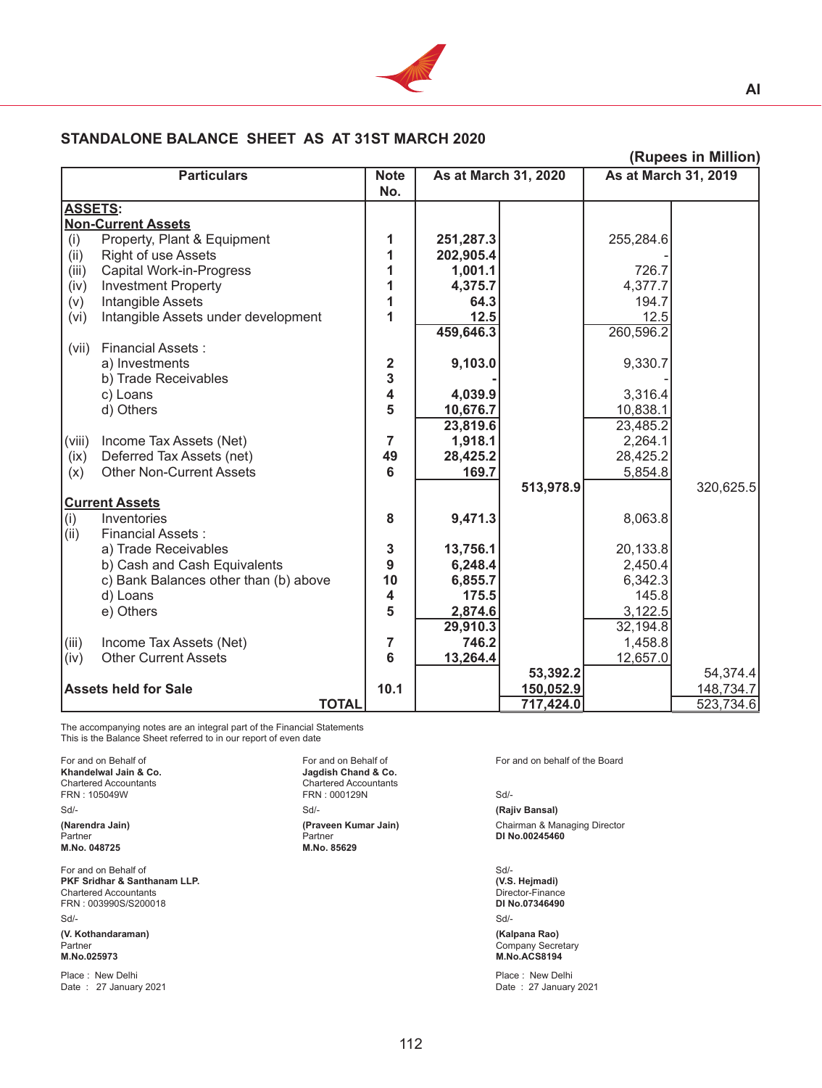

## **STANDALONE BALANCE SHEET AS AT 31ST MARCH 2020**

| (Rupees in Million)         |                                       |                    |                      |           |                             |           |  |  |
|-----------------------------|---------------------------------------|--------------------|----------------------|-----------|-----------------------------|-----------|--|--|
| <b>Particulars</b>          |                                       | <b>Note</b><br>No. | As at March 31, 2020 |           | <b>As at March 31, 2019</b> |           |  |  |
| <b>ASSETS:</b>              |                                       |                    |                      |           |                             |           |  |  |
|                             | <b>Non-Current Assets</b>             |                    |                      |           |                             |           |  |  |
| (i)                         | Property, Plant & Equipment           | 1                  | 251,287.3            |           | 255,284.6                   |           |  |  |
| (ii)                        | <b>Right of use Assets</b>            | 1                  | 202,905.4            |           |                             |           |  |  |
| (iii)                       | Capital Work-in-Progress              | 1                  | 1,001.1              |           | 726.7                       |           |  |  |
| (iv)                        | <b>Investment Property</b>            | 1                  | 4,375.7              |           | 4,377.7                     |           |  |  |
| (v)                         | Intangible Assets                     | 1                  | 64.3                 |           | 194.7                       |           |  |  |
| (vi)                        | Intangible Assets under development   | 1                  | 12.5                 |           | 12.5                        |           |  |  |
|                             |                                       |                    | 459,646.3            |           | 260,596.2                   |           |  |  |
| (vii)                       | <b>Financial Assets:</b>              |                    |                      |           |                             |           |  |  |
|                             | a) Investments                        | 2                  | 9,103.0              |           | 9,330.7                     |           |  |  |
|                             | b) Trade Receivables                  | 3                  |                      |           |                             |           |  |  |
|                             | c) Loans                              | 4                  | 4,039.9              |           | 3,316.4                     |           |  |  |
|                             | d) Others                             | 5                  | 10,676.7             |           | 10,838.1                    |           |  |  |
|                             |                                       |                    | 23,819.6             |           | 23,485.2                    |           |  |  |
| (viii)                      | Income Tax Assets (Net)               | 7                  | 1,918.1              |           | 2,264.1                     |           |  |  |
| (ix)                        | Deferred Tax Assets (net)             | 49                 | 28,425.2             |           | 28,425.2                    |           |  |  |
| (x)                         | <b>Other Non-Current Assets</b>       | $6\phantom{1}6$    | 169.7                |           | 5,854.8                     |           |  |  |
|                             |                                       |                    |                      | 513,978.9 |                             | 320,625.5 |  |  |
| <b>Current Assets</b>       |                                       |                    |                      |           |                             |           |  |  |
| (i)                         | Inventories                           | 8                  | 9,471.3              |           | 8,063.8                     |           |  |  |
| (iii)                       | <b>Financial Assets:</b>              |                    |                      |           |                             |           |  |  |
|                             | a) Trade Receivables                  | 3                  | 13,756.1             |           | 20,133.8                    |           |  |  |
|                             | b) Cash and Cash Equivalents          | 9                  | 6,248.4              |           | 2,450.4                     |           |  |  |
|                             | c) Bank Balances other than (b) above | 10                 | 6,855.7              |           | 6,342.3                     |           |  |  |
|                             | d) Loans                              | 4                  | 175.5                |           | 145.8                       |           |  |  |
|                             | e) Others                             | 5                  | 2,874.6              |           | 3,122.5                     |           |  |  |
|                             |                                       |                    | 29,910.3             |           | 32,194.8                    |           |  |  |
| (iii)                       | Income Tax Assets (Net)               | 7                  | 746.2                |           | 1,458.8                     |           |  |  |
| (iv)                        | <b>Other Current Assets</b>           | 6                  | 13,264.4             |           | 12,657.0                    |           |  |  |
|                             |                                       |                    |                      | 53,392.2  |                             | 54,374.4  |  |  |
| <b>Assets held for Sale</b> |                                       | 10.1               |                      | 150,052.9 |                             | 148,734.7 |  |  |
|                             | <b>TOTAL</b>                          |                    |                      | 717,424.0 |                             | 523,734.6 |  |  |

The accompanying notes are an integral part of the Financial Statements This is the Balance Sheet referred to in our report of even date

For and on Behalf of The Board Control of The Board Control of School and Control of the Board **Khandelwal Jain & Co.**<br> **Control of the Board School School School School School School School School School School School Sch Khandelwal Jain & Co.**<br>Chartered Accountants Chartered Accountants<br>
FRN : 105049W<br>
FRN : 000129N<br>
Chartered Accountants Sd/- Sd/- **(Rajiv Bansal) (Narendra Jain) (Praveen Kumar Jain)** Chairman & Managing Director **M.No. 048725** For and on Behalf of Solution School and Solution School and Solution School and Solution School and Solution S

**PKF Sridhar & Santhanam LLP. (V.S. Hejmadi)**  Chartered Accountants Director-Finance<br>
FRN : 003990S/S200018 **DIRO.07346490** FRN : 003990S/S200018 **DI No.07346490**  Sd/- Sd/-

**(V. Kothandaraman) (Kalpana Rao)** Partner Company Secretary and the company Secretary Company Secretary Company Secretary **M.No.025973 M.No.ACS8194**

Date : 27 January 2021

FRN : 000129N Sd/-Partner<br>
Partner<br> **DI No.00245460**<br> **DI No.00245460** 

Place : New Delhi <br>
Place : New Delhi Place : New Delhi Place : New Delhi Place : New Delhi Place : 27 January 2021